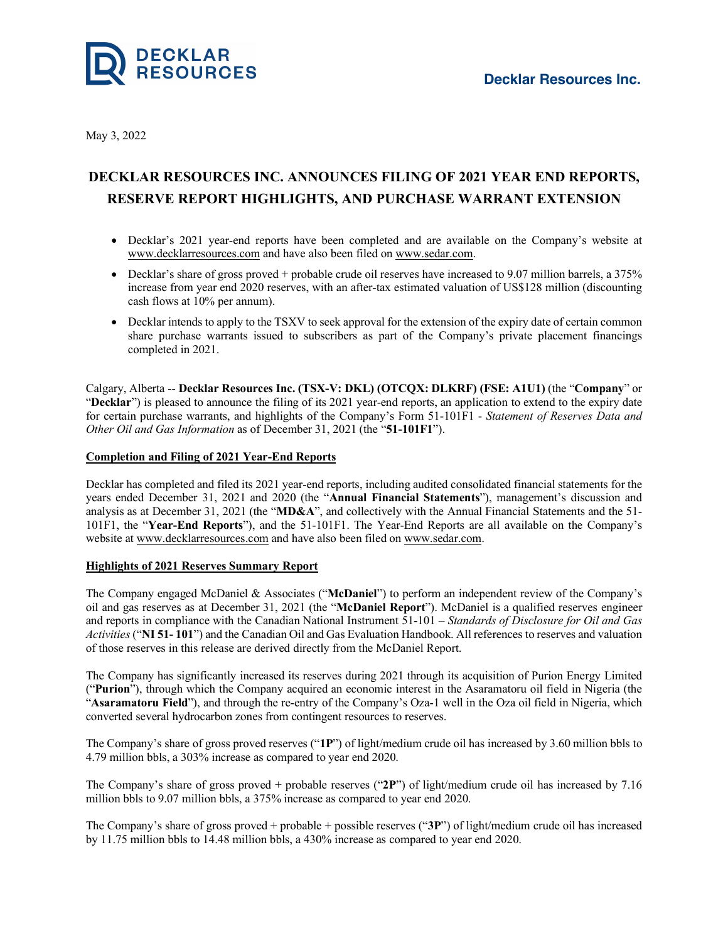



May 3, 2022

# **DECKLAR RESOURCES INC. ANNOUNCES FILING OF 2021 YEAR END REPORTS, RESERVE REPORT HIGHLIGHTS, AND PURCHASE WARRANT EXTENSION**

- Decklar's 2021 year-end reports have been completed and are available on the Company's website at www.decklarresources.com and have also been filed on www.sedar.com.
- Decklar's share of gross proved + probable crude oil reserves have increased to 9.07 million barrels, a 375% increase from year end 2020 reserves, with an after-tax estimated valuation of US\$128 million (discounting cash flows at 10% per annum).
- Decklar intends to apply to the TSXV to seek approval for the extension of the expiry date of certain common share purchase warrants issued to subscribers as part of the Company's private placement financings completed in 2021.

Calgary, Alberta -- **Decklar Resources Inc. (TSX-V: DKL) (OTCQX: DLKRF) (FSE: A1U1)** (the "**Company**" or "**Decklar**") is pleased to announce the filing of its 2021 year-end reports, an application to extend to the expiry date for certain purchase warrants, and highlights of the Company's Form 51-101F1 - *Statement of Reserves Data and Other Oil and Gas Information* as of December 31, 2021 (the "**51-101F1**").

## **Completion and Filing of 2021 Year-End Reports**

Decklar has completed and filed its 2021 year-end reports, including audited consolidated financial statements for the years ended December 31, 2021 and 2020 (the "**Annual Financial Statements**"), management's discussion and analysis as at December 31, 2021 (the "**MD&A**", and collectively with the Annual Financial Statements and the 51- 101F1, the "**Year-End Reports**"), and the 51-101F1. The Year-End Reports are all available on the Company's website at www.decklarresources.com and have also been filed on www.sedar.com.

## **Highlights of 2021 Reserves Summary Report**

The Company engaged McDaniel & Associates ("**McDaniel**") to perform an independent review of the Company's oil and gas reserves as at December 31, 2021 (the "**McDaniel Report**"). McDaniel is a qualified reserves engineer and reports in compliance with the Canadian National Instrument 51-101 – *Standards of Disclosure for Oil and Gas Activities* ("**NI 51- 101**") and the Canadian Oil and Gas Evaluation Handbook. All references to reserves and valuation of those reserves in this release are derived directly from the McDaniel Report.

The Company has significantly increased its reserves during 2021 through its acquisition of Purion Energy Limited ("**Purion**"), through which the Company acquired an economic interest in the Asaramatoru oil field in Nigeria (the "**Asaramatoru Field**"), and through the re-entry of the Company's Oza-1 well in the Oza oil field in Nigeria, which converted several hydrocarbon zones from contingent resources to reserves.

The Company's share of gross proved reserves ("**1P**") of light/medium crude oil has increased by 3.60 million bbls to 4.79 million bbls, a 303% increase as compared to year end 2020.

The Company's share of gross proved + probable reserves ("**2P**") of light/medium crude oil has increased by 7.16 million bbls to 9.07 million bbls, a 375% increase as compared to year end 2020.

The Company's share of gross proved + probable + possible reserves ("**3P**") of light/medium crude oil has increased by 11.75 million bbls to 14.48 million bbls, a 430% increase as compared to year end 2020.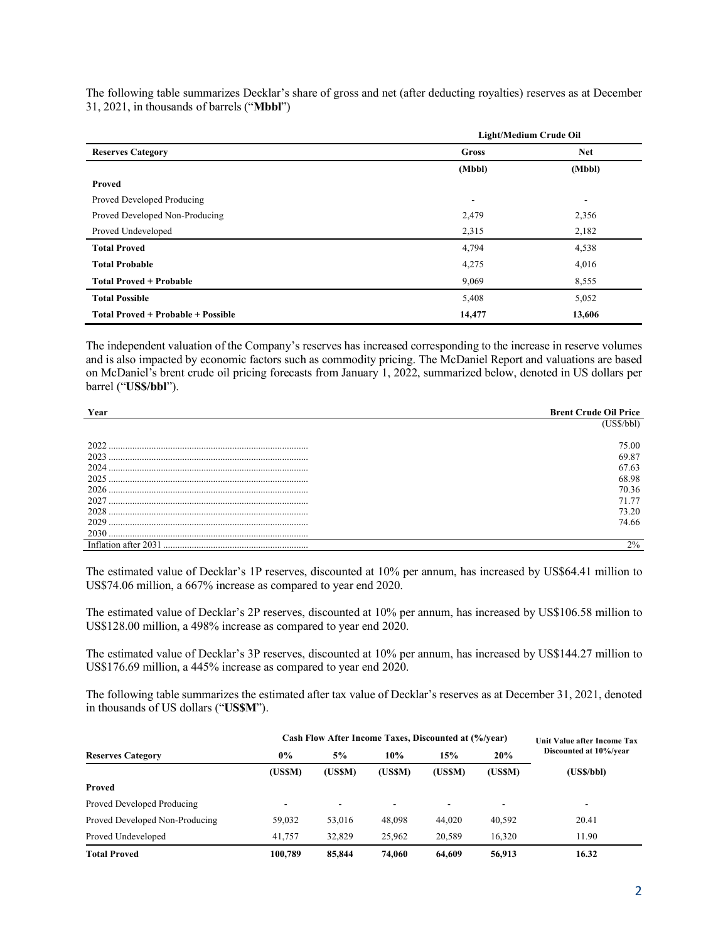The following table summarizes Decklar's share of gross and net (after deducting royalties) reserves as at December 31, 2021, in thousands of barrels ("**Mbbl**")

| <b>Reserves Category</b>           | Light/Medium Crude Oil |            |  |  |
|------------------------------------|------------------------|------------|--|--|
|                                    | Gross                  | <b>Net</b> |  |  |
|                                    | (Mbbl)                 | (Mbbl)     |  |  |
| Proved                             |                        |            |  |  |
| Proved Developed Producing         |                        | -          |  |  |
| Proved Developed Non-Producing     | 2,479                  | 2,356      |  |  |
| Proved Undeveloped                 | 2,315                  | 2,182      |  |  |
| <b>Total Proved</b>                | 4,794                  | 4,538      |  |  |
| <b>Total Probable</b>              | 4,275                  | 4,016      |  |  |
| <b>Total Proved + Probable</b>     | 9,069                  | 8,555      |  |  |
| <b>Total Possible</b>              | 5,408                  | 5,052      |  |  |
| Total Proved + Probable + Possible | 14,477                 | 13,606     |  |  |

The independent valuation of the Company's reserves has increased corresponding to the increase in reserve volumes and is also impacted by economic factors such as commodity pricing. The McDaniel Report and valuations are based on McDaniel's brent crude oil pricing forecasts from January 1, 2022, summarized below, denoted in US dollars per barrel ("**US\$/bbl**").

| Year                 | <b>Brent Crude Oil Price</b> |
|----------------------|------------------------------|
|                      | (US\$/bbl)                   |
|                      |                              |
| 2022                 | 75.00                        |
| 2023                 | 69.87                        |
| 2024                 | 67.63                        |
| 2025                 | 68.98                        |
| 2026                 | 70.36                        |
| 2027                 | 71.77                        |
| 2028                 | 73.20                        |
| 2029                 | 74.66                        |
|                      |                              |
| Inflation after 2031 | $2\%$                        |

The estimated value of Decklar's 1P reserves, discounted at 10% per annum, has increased by US\$64.41 million to US\$74.06 million, a 667% increase as compared to year end 2020.

The estimated value of Decklar's 2P reserves, discounted at 10% per annum, has increased by US\$106.58 million to US\$128.00 million, a 498% increase as compared to year end 2020.

The estimated value of Decklar's 3P reserves, discounted at 10% per annum, has increased by US\$144.27 million to US\$176.69 million, a 445% increase as compared to year end 2020.

The following table summarizes the estimated after tax value of Decklar's reserves as at December 31, 2021, denoted in thousands of US dollars ("**US\$M**").

| <b>Reserves Category</b>       | Cash Flow After Income Taxes, Discounted at (%/year) |         |        |        |        | Unit Value after Income Tax |
|--------------------------------|------------------------------------------------------|---------|--------|--------|--------|-----------------------------|
|                                | $0\%$                                                | 5%      | 10%    | 15%    | 20%    | Discounted at 10%/year      |
|                                | (USSM)                                               | (US\$M) | (USSM) | (USSM) | (USSM) | (USS/bbl)                   |
| Proved                         |                                                      |         |        |        |        |                             |
| Proved Developed Producing     |                                                      | ۰.      |        |        | ۰.     | -                           |
| Proved Developed Non-Producing | 59,032                                               | 53,016  | 48,098 | 44,020 | 40,592 | 20.41                       |
| Proved Undeveloped             | 41,757                                               | 32,829  | 25,962 | 20.589 | 16.320 | 11.90                       |
| <b>Total Proved</b>            | 100,789                                              | 85,844  | 74.060 | 64.609 | 56,913 | 16.32                       |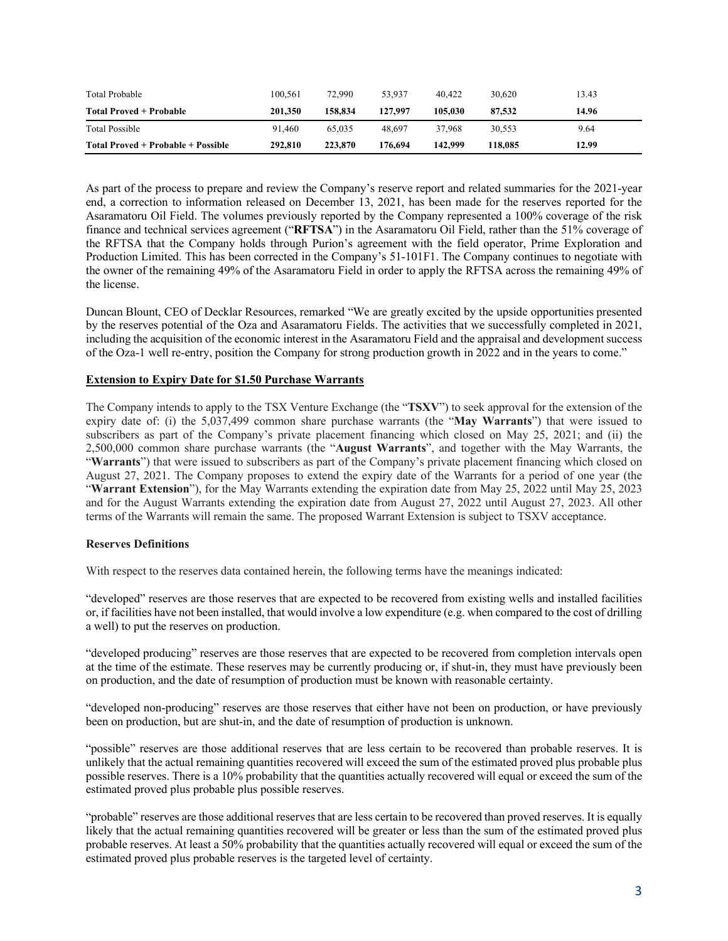| Total Probable                     | 100.561 | 72.990  | 53.937  | 40,422  | 30.620  | 13.43 |
|------------------------------------|---------|---------|---------|---------|---------|-------|
| Total Proved + Probable            | 201.350 | 158.834 | 127.997 | 105.030 | 87,532  | 14.96 |
| <b>Total Possible</b>              | 91.460  | 65,035  | 48.697  | 37.968  | 30.553  | 9.64  |
| Total Proved + Probable + Possible | 292,810 | 223,870 | 176.694 | 142,999 | 118,085 | 12.99 |

As part of the process to prepare and review the Company's reserve report and related summaries for the 2021-year end, a correction to information released on December 13, 2021, has been made for the reserves reported for the Asaramatoru Oil Field. The volumes previously reported by the Company represented a 100% coverage of the risk finance and technical services agreement ("**RFTSA**") in the Asaramatoru Oil Field, rather than the 51% coverage of the RFTSA that the Company holds through Purion's agreement with the field operator, Prime Exploration and Production Limited. This has been corrected in the Company's 51-101F1. The Company continues to negotiate with the owner of the remaining 49% of the Asaramatoru Field in order to apply the RFTSA across the remaining 49% of the license.

Duncan Blount, CEO of Decklar Resources, remarked "We are greatly excited by the upside opportunities presented by the reserves potential of the Oza and Asaramatoru Fields. The activities that we successfully completed in 2021, including the acquisition of the economic interest in the Asaramatoru Field and the appraisal and development success of the Oza-1 well re-entry, position the Company for strong production growth in 2022 and in the years to come."

## **Extension to Expiry Date for \$1.50 Purchase Warrants**

The Company intends to apply to the TSX Venture Exchange (the "**TSXV**") to seek approval for the extension of the expiry date of: (i) the 5,037,499 common share purchase warrants (the "**May Warrants**") that were issued to subscribers as part of the Company's private placement financing which closed on May 25, 2021; and (ii) the 2,500,000 common share purchase warrants (the "**August Warrants**", and together with the May Warrants, the "**Warrants**") that were issued to subscribers as part of the Company's private placement financing which closed on August 27, 2021. The Company proposes to extend the expiry date of the Warrants for a period of one year (the "**Warrant Extension**"), for the May Warrants extending the expiration date from May 25, 2022 until May 25, 2023 and for the August Warrants extending the expiration date from August 27, 2022 until August 27, 2023. All other terms of the Warrants will remain the same. The proposed Warrant Extension is subject to TSXV acceptance.

#### **Reserves Definitions**

With respect to the reserves data contained herein, the following terms have the meanings indicated:

"developed" reserves are those reserves that are expected to be recovered from existing wells and installed facilities or, if facilities have not been installed, that would involve a low expenditure (e.g. when compared to the cost of drilling a well) to put the reserves on production.

"developed producing" reserves are those reserves that are expected to be recovered from completion intervals open at the time of the estimate. These reserves may be currently producing or, if shut-in, they must have previously been on production, and the date of resumption of production must be known with reasonable certainty.

"developed non-producing" reserves are those reserves that either have not been on production, or have previously been on production, but are shut-in, and the date of resumption of production is unknown.

"possible" reserves are those additional reserves that are less certain to be recovered than probable reserves. It is unlikely that the actual remaining quantities recovered will exceed the sum of the estimated proved plus probable plus possible reserves. There is a 10% probability that the quantities actually recovered will equal or exceed the sum of the estimated proved plus probable plus possible reserves.

"probable" reserves are those additional reserves that are less certain to be recovered than proved reserves. It is equally likely that the actual remaining quantities recovered will be greater or less than the sum of the estimated proved plus probable reserves. At least a 50% probability that the quantities actually recovered will equal or exceed the sum of the estimated proved plus probable reserves is the targeted level of certainty.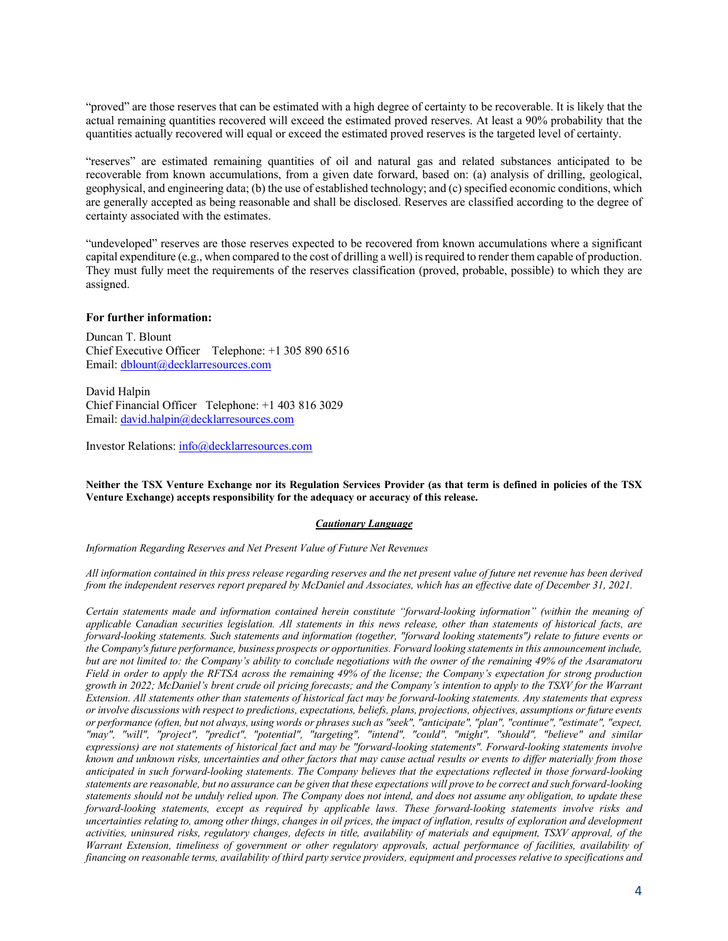"proved" are those reserves that can be estimated with a high degree of certainty to be recoverable. It is likely that the actual remaining quantities recovered will exceed the estimated proved reserves. At least a 90% probability that the quantities actually recovered will equal or exceed the estimated proved reserves is the targeted level of certainty.

"reserves" are estimated remaining quantities of oil and natural gas and related substances anticipated to be recoverable from known accumulations, from a given date forward, based on: (a) analysis of drilling, geological, geophysical, and engineering data; (b) the use of established technology; and (c) specified economic conditions, which are generally accepted as being reasonable and shall be disclosed. Reserves are classified according to the degree of certainty associated with the estimates.

"undeveloped" reserves are those reserves expected to be recovered from known accumulations where a significant capital expenditure (e.g., when compared to the cost of drilling a well) isrequired to render them capable of production. They must fully meet the requirements of the reserves classification (proved, probable, possible) to which they are assigned.

#### **For further information:**

Duncan T. Blount Chief Executive Officer Telephone: +1 305 890 6516 Email: dblount@decklarresources.com

David Halpin Chief Financial Officer Telephone: +1 403 816 3029 Email: david.halpin@decklarresources.com

Investor Relations: info@decklarresources.com

Neither the TSX Venture Exchange nor its Regulation Services Provider (as that term is defined in policies of the TSX **Venture Exchange) accepts responsibility for the adequacy or accuracy of this release.**

#### *Cautionary Language*

*Information Regarding Reserves and Net Present Value of Future Net Revenues*

All information contained in this press release regarding reserves and the net present value of future net revenue has been derived from the independent reserves report prepared by McDaniel and Associates, which has an effective date of December 31, 2021.

*Certain statements made and information contained herein constitute "forward-looking information" (within the meaning of* applicable Canadian securities legislation. All statements in this news release, other than statements of historical facts, are forward-looking statements. Such statements and information (together, "forward looking statements") relate to future events or *the Company'sfuture performance, business prospects or opportunities. Forward looking statementsin this announcement include,* but are not limited to: the Company's ability to conclude negotiations with the owner of the remaining 49% of the Asaramatoru Field in order to apply the RFTSA across the remaining 49% of the license; the Company's expectation for strong production growth in 2022; McDaniel's brent crude oil pricing forecasts; and the Company's intention to apply to the TSXV for the Warrant Extension. All statements other than statements of historical fact may be forward-looking statements. Any statements that express or involve discussions with respect to predictions, expectations, beliefs, plans, projections, objectives, assumptions or future events or performance (often, but not always, using words or phrases such as "seek", "anticipate", "plan", "continue", "estimate", "expect, *"may", "will", "project", "predict", "potential", "targeting", "intend", "could", "might", "should", "believe" and similar* expressions) are not statements of historical fact and may be "forward-looking statements". Forward-looking statements involve known and unknown risks, uncertainties and other factors that may cause actual results or events to differ materially from those anticipated in such forward-looking statements. The Company believes that the expectations reflected in those forward-looking statements are reasonable, but no assurance can be given that these expectations will prove to be correct and such forward-looking statements should not be unduly relied upon. The Company does not intend, and does not assume any obligation, to update these *forward-looking statements, except as required by applicable laws. These forward-looking statements involve risks and* uncertainties relating to, among other things, changes in oil prices, the impact of inflation, results of exploration and development activities, uninsured risks, regulatory changes, defects in title, availability of materials and equipment, TSXV approval, of the Warrant Extension, timeliness of government or other regulatory approvals, actual performance of facilities, availability of financing on reasonable terms, availability of third party service providers, equipment and processes relative to specifications and